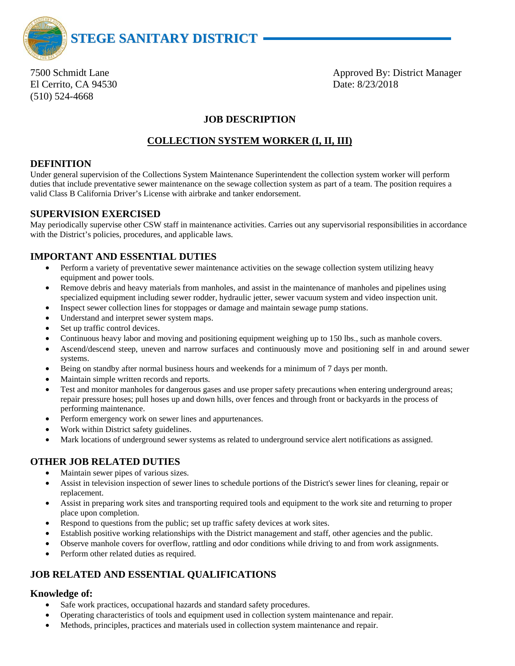

El Cerrito, CA 94530 Date: 8/23/2018 (510) 524-4668

7500 Schmidt Lane **Approved By: District Manager** Approved By: District Manager

# **JOB DESCRIPTION**

# **COLLECTION SYSTEM WORKER (I, II, III)**

## **DEFINITION**

Under general supervision of the Collections System Maintenance Superintendent the collection system worker will perform duties that include preventative sewer maintenance on the sewage collection system as part of a team. The position requires a valid Class B California Driver's License with airbrake and tanker endorsement.

### **SUPERVISION EXERCISED**

May periodically supervise other CSW staff in maintenance activities. Carries out any supervisorial responsibilities in accordance with the District's policies, procedures, and applicable laws.

# **IMPORTANT AND ESSENTIAL DUTIES**

- Perform a variety of preventative sewer maintenance activities on the sewage collection system utilizing heavy equipment and power tools.
- Remove debris and heavy materials from manholes, and assist in the maintenance of manholes and pipelines using specialized equipment including sewer rodder, hydraulic jetter, sewer vacuum system and video inspection unit.
- Inspect sewer collection lines for stoppages or damage and maintain sewage pump stations.
- Understand and interpret sewer system maps.
- Set up traffic control devices.
- Continuous heavy labor and moving and positioning equipment weighing up to 150 lbs., such as manhole covers.
- Ascend/descend steep, uneven and narrow surfaces and continuously move and positioning self in and around sewer systems.
- Being on standby after normal business hours and weekends for a minimum of 7 days per month.
- Maintain simple written records and reports.
- Test and monitor manholes for dangerous gases and use proper safety precautions when entering underground areas; repair pressure hoses; pull hoses up and down hills, over fences and through front or backyards in the process of performing maintenance.
- Perform emergency work on sewer lines and appurtenances.
- Work within District safety guidelines.
- Mark locations of underground sewer systems as related to underground service alert notifications as assigned.

## **OTHER JOB RELATED DUTIES**

- Maintain sewer pipes of various sizes.
- Assist in television inspection of sewer lines to schedule portions of the District's sewer lines for cleaning, repair or replacement.
- Assist in preparing work sites and transporting required tools and equipment to the work site and returning to proper place upon completion.
- Respond to questions from the public; set up traffic safety devices at work sites.
- Establish positive working relationships with the District management and staff, other agencies and the public.
- Observe manhole covers for overflow, rattling and odor conditions while driving to and from work assignments.
- Perform other related duties as required.

# **JOB RELATED AND ESSENTIAL QUALIFICATIONS**

#### **Knowledge of:**

- Safe work practices, occupational hazards and standard safety procedures.
- Operating characteristics of tools and equipment used in collection system maintenance and repair.
- Methods, principles, practices and materials used in collection system maintenance and repair.